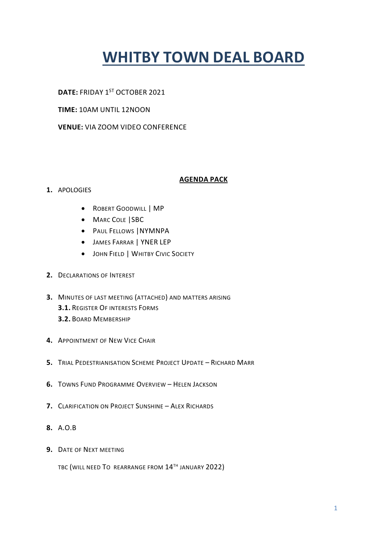# **WHITBY TOWN DEAL BOARD**

# DATE: FRIDAY 1<sup>ST</sup> OCTOBER 2021

# **TIME:** 10AM UNTIL 12NOON

# **VENUE:** VIA ZOOM VIDEO CONFERENCE

# **AGENDA PACK**

# **1.** APOLOGIES

- ROBERT GOODWILL | MP
- MARC COLE SBC
- PAUL FELLOWS |NYMNPA
- JAMES FARRAR | YNER LEP
- **JOHN FIELD | WHITBY CIVIC SOCIETY**
- **2.** DECLARATIONS OF INTEREST
- **3.** MINUTES OF LAST MEETING (ATTACHED) AND MATTERS ARISING **3.1.** REGISTER OF INTERESTS FORMS **3.2.** BOARD MEMBERSHIP
- **4.** APPOINTMENT OF NEW VICE CHAIR
- **5.** TRIAL PEDESTRIANISATION SCHEME PROJECT UPDATE RICHARD MARR
- **6.** TOWNS FUND PROGRAMME OVERVIEW HELEN JACKSON
- **7.** CLARIFICATION ON PROJECT SUNSHINE ALEX RICHARDS
- **8.** A.O.B
- **9.** DATE OF NEXT MEETING

TBC (WILL NEED TO REARRANGE FROM 14<sup>TH</sup> JANUARY 2022)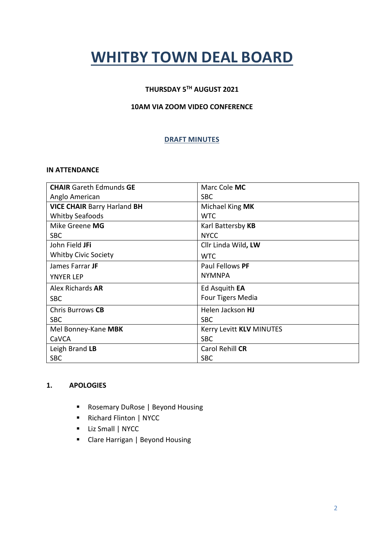# **WHITBY TOWN DEAL BOARD**

# **THURSDAY 5TH AUGUST 2021**

# **10AM VIA ZOOM VIDEO CONFERENCE**

# **DRAFT MINUTES**

#### **IN ATTENDANCE**

| <b>CHAIR</b> Gareth Edmunds <b>GE</b> | Marc Cole MC             |
|---------------------------------------|--------------------------|
| Anglo American                        | <b>SBC</b>               |
| <b>VICE CHAIR Barry Harland BH</b>    | Michael King MK          |
| <b>Whitby Seafoods</b>                | WTC.                     |
| Mike Greene MG                        | Karl Battersby KB        |
| <b>SBC</b>                            | <b>NYCC</b>              |
| John Field <b>JFi</b>                 | Cllr Linda Wild, LW      |
| <b>Whitby Civic Society</b>           | <b>WTC</b>               |
| James Farrar JF                       | Paul Fellows PF          |
| <b>YNYER LEP</b>                      | <b>NYMNPA</b>            |
| Alex Richards <b>AR</b>               | Ed Asquith <b>EA</b>     |
| <b>SBC</b>                            | Four Tigers Media        |
| Chris Burrows CB                      | Helen Jackson HJ         |
| <b>SBC</b>                            | <b>SBC</b>               |
| Mel Bonney-Kane MBK                   | Kerry Levitt KLV MINUTES |
| CaVCA                                 | <b>SBC</b>               |
| Leigh Brand LB                        | Carol Rehill CR          |
| <b>SBC</b>                            | <b>SBC</b>               |

#### **1. APOLOGIES**

- Rosemary DuRose | Beyond Housing
- Richard Flinton | NYCC
- **Liz Small | NYCC**
- Clare Harrigan | Beyond Housing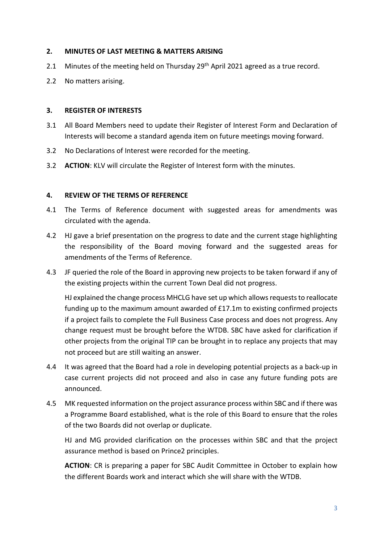## **2. MINUTES OF LAST MEETING & MATTERS ARISING**

- 2.1 Minutes of the meeting held on Thursday 29<sup>th</sup> April 2021 agreed as a true record.
- 2.2 No matters arising.

#### **3. REGISTER OF INTERESTS**

- 3.1 All Board Members need to update their Register of Interest Form and Declaration of Interests will become a standard agenda item on future meetings moving forward.
- 3.2 No Declarations of Interest were recorded for the meeting.
- 3.2 **ACTION**: KLV will circulate the Register of Interest form with the minutes.

## **4. REVIEW OF THE TERMS OF REFERENCE**

- 4.1 The Terms of Reference document with suggested areas for amendments was circulated with the agenda.
- 4.2 HJ gave a brief presentation on the progress to date and the current stage highlighting the responsibility of the Board moving forward and the suggested areas for amendments of the Terms of Reference.
- 4.3 JF queried the role of the Board in approving new projects to be taken forward if any of the existing projects within the current Town Deal did not progress.

HJ explained the change process MHCLG have set up which allows requests to reallocate funding up to the maximum amount awarded of £17.1m to existing confirmed projects if a project fails to complete the Full Business Case process and does not progress. Any change request must be brought before the WTDB. SBC have asked for clarification if other projects from the original TIP can be brought in to replace any projects that may not proceed but are still waiting an answer.

- 4.4 It was agreed that the Board had a role in developing potential projects as a back-up in case current projects did not proceed and also in case any future funding pots are announced.
- 4.5 MK requested information on the project assurance process within SBC and if there was a Programme Board established, what is the role of this Board to ensure that the roles of the two Boards did not overlap or duplicate.

HJ and MG provided clarification on the processes within SBC and that the project assurance method is based on Prince2 principles.

**ACTION**: CR is preparing a paper for SBC Audit Committee in October to explain how the different Boards work and interact which she will share with the WTDB.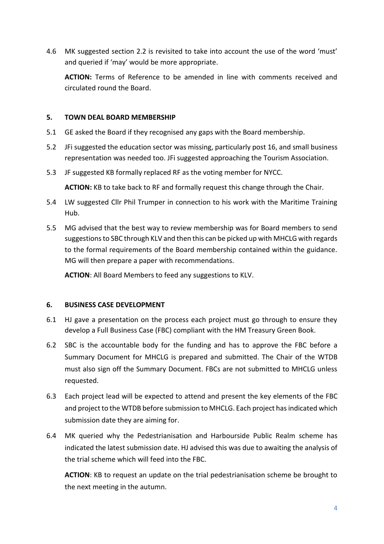4.6 MK suggested section 2.2 is revisited to take into account the use of the word 'must' and queried if 'may' would be more appropriate.

**ACTION:** Terms of Reference to be amended in line with comments received and circulated round the Board.

## **5. TOWN DEAL BOARD MEMBERSHIP**

- 5.1 GE asked the Board if they recognised any gaps with the Board membership.
- 5.2 JFi suggested the education sector was missing, particularly post 16, and small business representation was needed too. JFi suggested approaching the Tourism Association.
- 5.3 JF suggested KB formally replaced RF as the voting member for NYCC.

**ACTION:** KB to take back to RF and formally request this change through the Chair.

- 5.4 LW suggested Cllr Phil Trumper in connection to his work with the Maritime Training Hub.
- 5.5 MG advised that the best way to review membership was for Board members to send suggestions to SBC through KLV and then this can be picked up with MHCLG with regards to the formal requirements of the Board membership contained within the guidance. MG will then prepare a paper with recommendations.

**ACTION**: All Board Members to feed any suggestions to KLV.

#### **6. BUSINESS CASE DEVELOPMENT**

- 6.1 HJ gave a presentation on the process each project must go through to ensure they develop a Full Business Case (FBC) compliant with the HM Treasury Green Book.
- 6.2 SBC is the accountable body for the funding and has to approve the FBC before a Summary Document for MHCLG is prepared and submitted. The Chair of the WTDB must also sign off the Summary Document. FBCs are not submitted to MHCLG unless requested.
- 6.3 Each project lead will be expected to attend and present the key elements of the FBC and project to the WTDB before submission to MHCLG. Each project has indicated which submission date they are aiming for.
- 6.4 MK queried why the Pedestrianisation and Harbourside Public Realm scheme has indicated the latest submission date. HJ advised this was due to awaiting the analysis of the trial scheme which will feed into the FBC.

**ACTION**: KB to request an update on the trial pedestrianisation scheme be brought to the next meeting in the autumn.